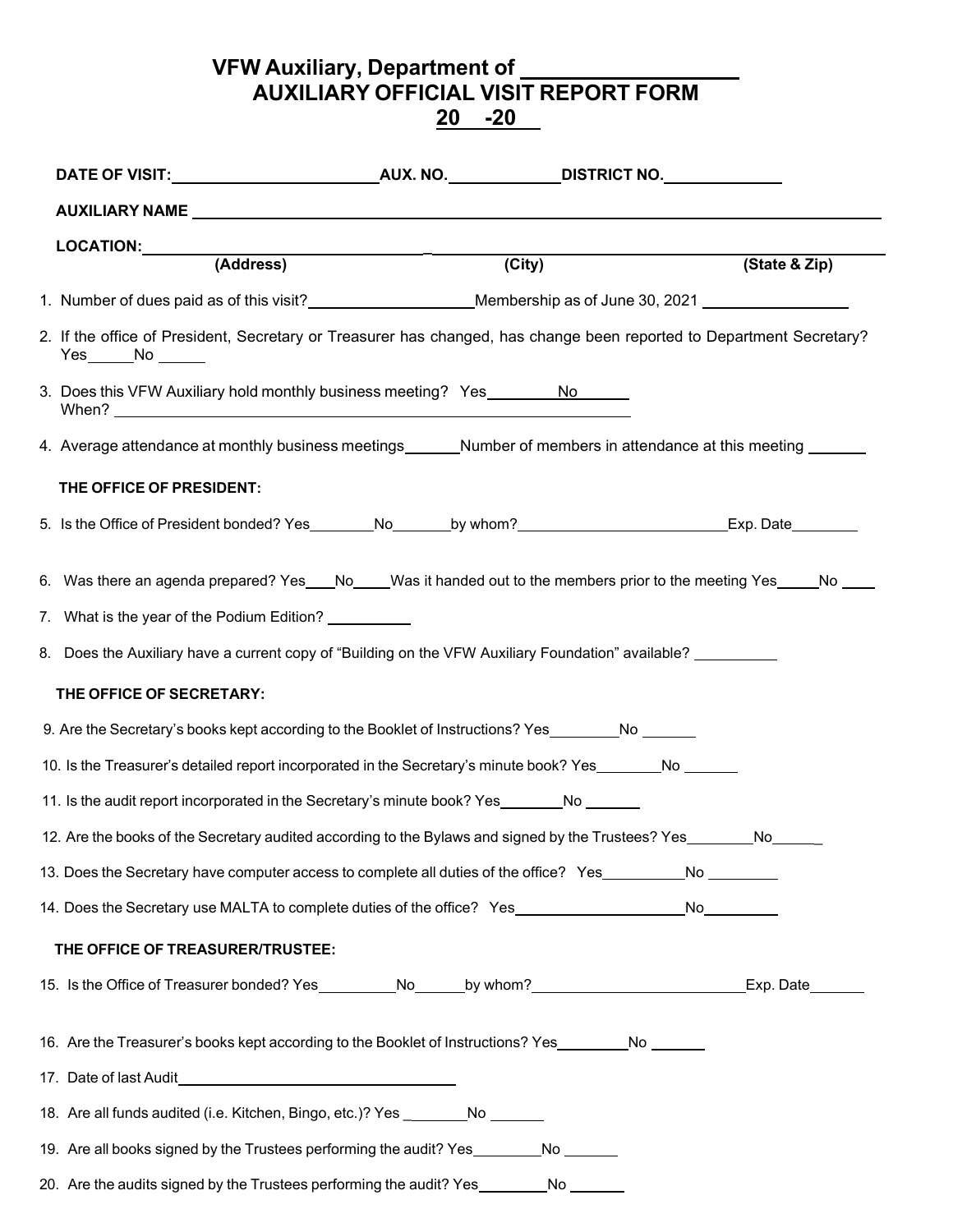**VFW Auxiliary, Department of AUXILIARY OFFICIAL VISIT REPORT FORM 20 -20**

| LOCATION: (Address)                                                                                                                          |        |               |
|----------------------------------------------------------------------------------------------------------------------------------------------|--------|---------------|
|                                                                                                                                              | (City) | (State & Zip) |
| 1. Number of dues paid as of this visit?__________________________Membership as of June 30, 2021 _______________                             |        |               |
| 2. If the office of President, Secretary or Treasurer has changed, has change been reported to Department Secretary?<br>$Yes$ No $\_\_\_\_\$ |        |               |
| 3. Does this VFW Auxiliary hold monthly business meeting? Yes No                                                                             |        |               |
| 4. Average attendance at monthly business meetings_______Number of members in attendance at this meeting _____                               |        |               |
| THE OFFICE OF PRESIDENT:                                                                                                                     |        |               |
| 5. Is the Office of President bonded? Yes ________No_______by whom?______________________________Exp. Date_________                          |        |               |
| 6. Was there an agenda prepared? Yes___No____Was it handed out to the members prior to the meeting Yes____No ____                            |        |               |
| 7. What is the year of the Podium Edition? __________                                                                                        |        |               |
| 8. Does the Auxiliary have a current copy of "Building on the VFW Auxiliary Foundation" available?                                           |        |               |
| THE OFFICE OF SECRETARY:                                                                                                                     |        |               |
| 9. Are the Secretary's books kept according to the Booklet of Instructions? Yes__________No _______                                          |        |               |
| 10. Is the Treasurer's detailed report incorporated in the Secretary's minute book? Yes________No                                            |        |               |
| 11. Is the audit report incorporated in the Secretary's minute book? Yes_______No ______                                                     |        |               |
| 12. Are the books of the Secretary audited according to the Bylaws and signed by the Trustees? Yes No                                        |        |               |
| 13. Does the Secretary have computer access to complete all duties of the office? Yes____________No                                          |        |               |
| 14. Does the Secretary use MALTA to complete duties of the office? Yes______________________No____________                                   |        |               |
| THE OFFICE OF TREASURER/TRUSTEE:                                                                                                             |        |               |
| 15. Is the Office of Treasurer bonded? Yes__________No______by whom?_____________________________Exp. Date_______                            |        |               |
| 16. Are the Treasurer's books kept according to the Booklet of Instructions? Yes _________No ______                                          |        |               |
|                                                                                                                                              |        |               |
| 18. Are all funds audited (i.e. Kitchen, Bingo, etc.)? Yes ___________No _______                                                             |        |               |
| 19. Are all books signed by the Trustees performing the audit? Yes_________No _______                                                        |        |               |
| 20. Are the audits signed by the Trustees performing the audit? Yes_________No _______                                                       |        |               |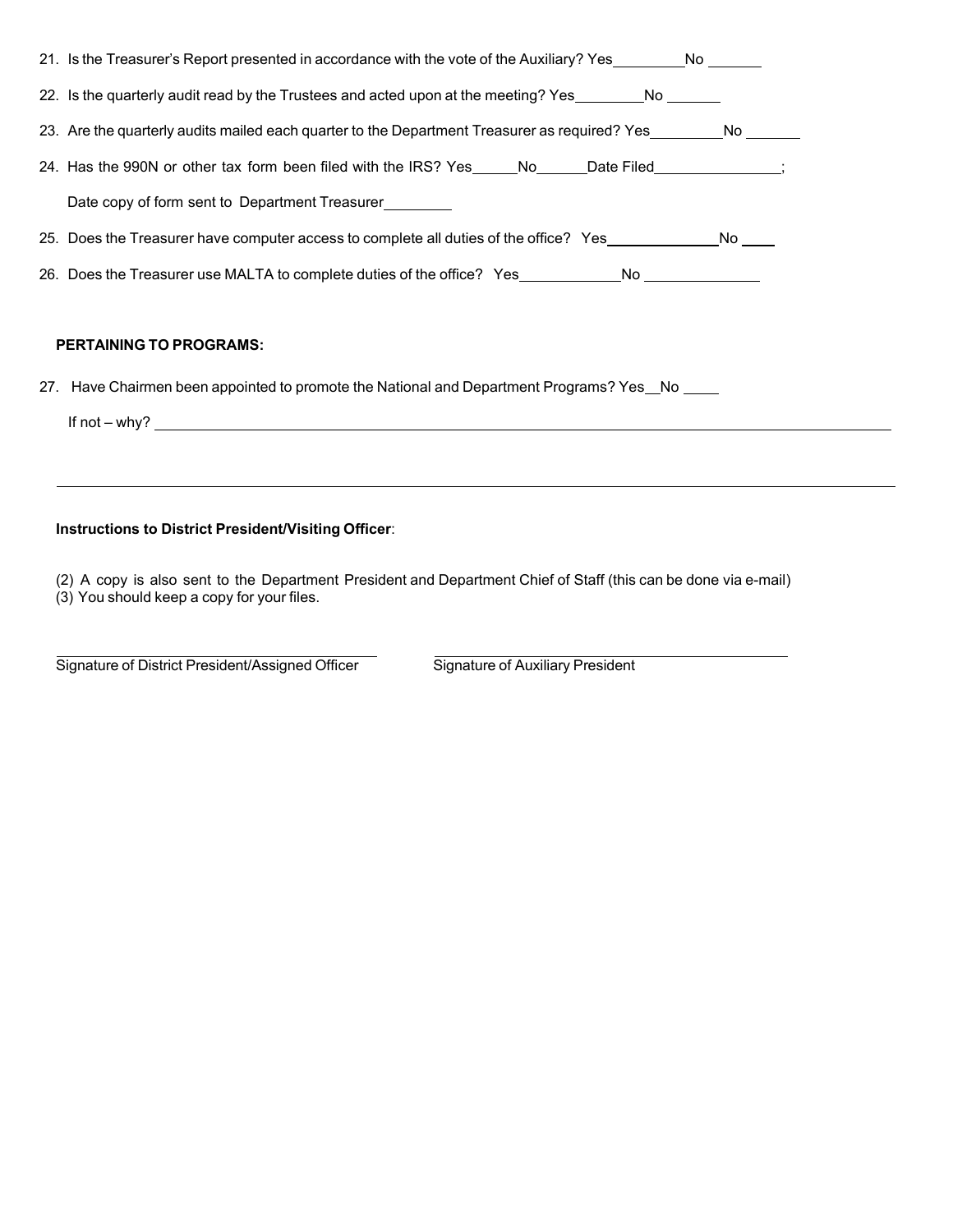| 21. Is the Treasurer's Report presented in accordance with the vote of the Auxiliary? Yes No            |  |  |
|---------------------------------------------------------------------------------------------------------|--|--|
| 22. Is the quarterly audit read by the Trustees and acted upon at the meeting? Yes No No                |  |  |
| 23. Are the quarterly audits mailed each quarter to the Department Treasurer as required? Yes No        |  |  |
| 24. Has the 990N or other tax form been filed with the IRS? Yes_____No_____Date Filed____________;      |  |  |
| Date copy of form sent to Department Treasurer                                                          |  |  |
| 25. Does the Treasurer have computer access to complete all duties of the office? Yes_______________ No |  |  |
| 26. Does the Treasurer use MALTA to complete duties of the office? Yes___________No _______________     |  |  |
|                                                                                                         |  |  |
| <b>PERTAINING TO PROGRAMS:</b>                                                                          |  |  |
| 27. Have Chairmen been appointed to promote the National and Department Programs? Yes No                |  |  |

If not – why?

## **Instructions to District President/Visiting Officer**:

(2) A copy is also sent to the Department President and Department Chief of Staff (this can be done via e-mail) (3) You should keep a copy for your files.

Signature of District President/Assigned Officer Signature of Auxiliary President